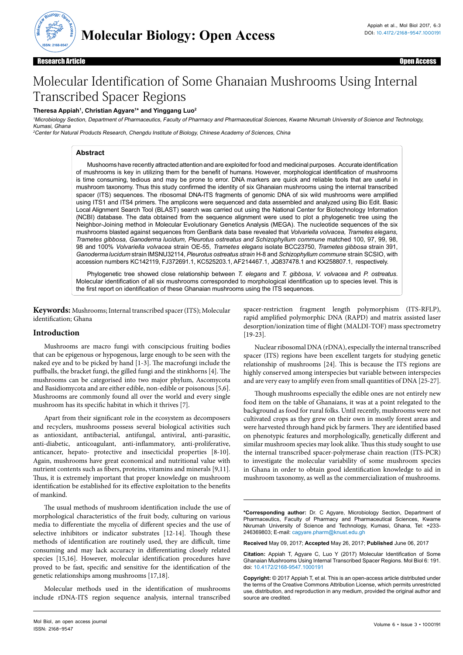

Research Article Open Access

# Molecular Identification of Some Ghanaian Mushrooms Using Internal Transcribed Spacer Regions

#### **Theresa Appiah1 , Christian Agyare1 \* and Yinggang Luo2**

<sup>1</sup>Microbiology Section, Department of Pharmaceutics, Faculty of Pharmacy and Pharmaceutical Sciences, Kwame Nkrumah University of Science and Technology, Kumasi, Ghana

<sup>2</sup>Center for Natural Products Research, Chengdu Institute of Biology, Chinese Academy of Sciences, China

# **Abstract**

Mushooms have recently attracted attention and are exploited for food and medicinal purposes. Accurate identification of mushrooms is key in utilizing them for the benefit of humans. However, morphological identification of mushrooms is time consuming, tedious and may be prone to error. DNA markers are quick and reliable tools that are useful in mushroom taxonomy. Thus this study confirmed the identity of six Ghanaian mushrooms using the internal transcribed spacer (ITS) sequences. The ribosomal DNA-ITS fragments of genomic DNA of six wild mushrooms were amplified using ITS1 and ITS4 primers. The amplicons were sequenced and data assembled and analyzed using Bio Edit. Basic Local Alignment Search Tool (BLAST) search was carried out using the National Center for Biotechnology Information (NCBI) database. The data obtained from the sequence alignment were used to plot a phylogenetic tree using the Neighbor-Joining method in Molecular Evolutionary Genetics Analysis (MEGA). The nucleotide sequences of the six mushrooms blasted against sequences from GenBank data base revealed that *Volvariella volvacea, Trametes elegans, Trametes gibbosa, Ganoderma lucidum, Pleurotus ostreatus and Schizophyllum commune* matched 100, 97, 99, 98, 98 and 100% *[Volvariella volvacea](https://blast.ncbi.nlm.nih.gov/Blast.cgi#alnHdr_530723343)* strain OE-55, *Trametes elegans* isolate BCC23750, *Trametes gibbosa* strain 391, *Ganoderma lucidum* strain IMSNU32114, *Pleurotus ostreatus strain* H-8 and *Schizophyllum commune* strain SCSIO, with accession numbers KC142119, FJ372691.1, KC525203.1, [AF214467.1,](https://www.ncbi.nlm.nih.gov/nucleotide/25987112?report=genbank&log%24=nuclalign&blast_rank=11&RID=40X3V059014) [JQ837478.1](https://www.ncbi.nlm.nih.gov/nucleotide/399141882?report=genbank&log%24=nuclalign&blast_rank=5&RID=411A1GZM015) and [KX258807.1](https://www.ncbi.nlm.nih.gov/nucleotide/1050213726?report=genbank&log%24=nucltop&blast_rank=1&RID=3PX3F2R3014), respectively.

Phylogenetic tree showed close relationship between *T. elegans* and *T. gibbosa*, *V. volvacea* and *P. ostreatus*. Molecular identification of all six mushrooms corresponded to morphological identification up to species level. This is the first report on identification of these Ghanaian mushrooms using the ITS sequences.

**Keywords:** Mushrooms; Internal transcribed spacer (ITS); Molecular identification; Ghana

### **Introduction**

Mushrooms are macro fungi with conscipcious fruiting bodies that can be epigenous or hypogenous, large enough to be seen with the naked eye and to be picked by hand [1-3]. The macrofungi include the puffballs, the bracket fungi, the gilled fungi and the stinkhorns [4]. The mushrooms can be categorised into two major phylum, Ascomycota and Basidiomycota and are either edible, non-edible or poisonous [5,6]. Mushrooms are commonly found all over the world and every single mushroom has its specific habitat in which it thrives [7].

Apart from their significant role in the ecosystem as decomposers and recyclers, mushrooms possess several biological activities such as antioxidant, antibacterial, antifungal, antiviral, anti-parasitic, anti-diabetic, anticoagulant, anti-inflammatory, anti-proliferative, anticancer, hepato- protective and insecticidal properties [8-10]. Again, mushrooms have great economical and nutritional value with nutrient contents such as fibers, proteins, vitamins and minerals [9,11]. Thus, it is extremely important that proper knowledge on mushroom identification be established for its effective exploitation to the benefits of mankind.

The usual methods of mushroom identification include the use of morphological characteristics of the fruit body, culturing on various media to differentiate the mycelia of different species and the use of selective inhibitors or indicator substrates [12-14]. Though these methods of identification are routinely used, they are difficult, time consuming and may lack accuracy in differentiating closely related species [15,16]. However, molecular identification procedures have proved to be fast, specific and sensitive for the identification of the genetic relationships among mushrooms [17,18].

Molecular methods used in the identification of mushrooms include rDNA-ITS region sequence analysis, internal transcribed

spacer-restriction fragment length polymorphism (ITS-RFLP), rapid amplified polymorphic DNA (RAPD) and matrix assisted laser desorption/ionization time of flight (MALDI-TOF) mass spectrometry [19-23].

Nuclear ribosomal DNA (rDNA), especially the internal transcribed spacer (ITS) regions have been excellent targets for studying genetic relationship of mushrooms [24]. This is because the ITS regions are highly conserved among interspecies but variable between interspecies and are very easy to amplify even from small quantities of DNA [25-27].

Though mushrooms especially the edible ones are not entirely new food item on the table of Ghanaians, it was at a point relegated to the background as food for rural folks. Until recently, mushrooms were not cultivated crops as they grew on their own in mostly forest areas and were harvested through hand pick by farmers. They are identified based on phenotypic features and morphologically, genetically different and similar mushroom species may look alike. Thus this study sought to use the internal transcribed spacer-polymerase chain reaction (ITS-PCR) to investigate the molecular variability of some mushroom species in Ghana in order to obtain good identification knowledge to aid in mushroom taxonomy, as well as the commercialization of mushrooms.

**\*Corresponding author:** Dr. C Agyare, Microbiology Section, Department of Pharmaceutics, Faculty of Pharmacy and Pharmaceutical Sciences, Kwame Nkrumah University of Science and Technology, Kumasi, Ghana, Tel: +233- 246369803; E-mail: cagyare.pharm@knust.edu.gh

**Received** May 09, 2017; **Accepted** May 26, 2017; **Published** June 06, 2017

**Citation:** Appiah T, Agyare C, Luo Y (2017) Molecular Identification of Some Ghanaian Mushrooms Using Internal Transcribed Spacer Regions. Mol Biol 6: 191. doi: 10.4172/2168-9547.1000191

**Copyright:** © 2017 Appiah T, et al. This is an open-access article distributed under the terms of the Creative Commons Attribution License, which permits unrestricted use, distribution, and reproduction in any medium, provided the original author and source are credited.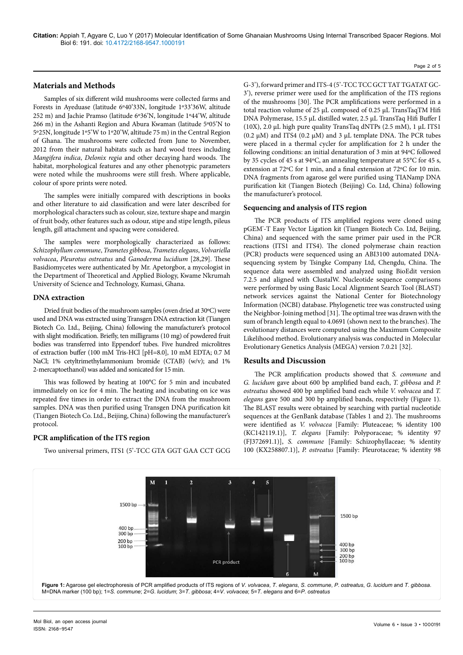# Page 2 of 5

# **Materials and Methods**

Samples of six different wild mushrooms were collected farms and Forests in Ayeduase (latitude 6º40'33N, longitude 1º33'36W, altitude 252 m) and Jachie Pramso (latitude 6º36'N, longitude 1º44'W, altitude 266 m) in the Ashanti Region and Abura Kwaman (latitude 5º05'N to 5º25N, longitude 1º5'W to 1º20'W, altitude 75 m) in the Central Region of Ghana. The mushrooms were collected from June to November, 2012 from their natural habitats such as hard wood trees including *Mangifera indica*, *Delonix regia* and other decaying hard woods. The habitat, morphological features and any other phenotypic parameters were noted while the mushrooms were still fresh. Where applicable, colour of spore prints were noted.

The samples were initially compared with descriptions in books and other literature to aid classification and were later described for morphological characters such as colour, size, texture shape and margin of fruit body, other features such as odour, stipe and stipe length, pileus length, gill attachment and spacing were considered.

The samples were morphologically characterized as follows: *Schizophyllum commune*, *Trametes gibbosa*, *Trametes elegans*, *Volvariella volvacea*, *Pleurotus ostreatus* and *Ganoderma lucidium* [28,29]. These Basidiomycetes were authenticated by Mr. Apetorgbor, a mycologist in the Department of Theoretical and Applied Biology, Kwame Nkrumah University of Science and Technology, Kumasi, Ghana.

#### **DNA extraction**

Dried fruit bodies of the mushroom samples (oven dried at 30ºC) were used and DNA was extracted using Transgen DNA extraction kit (Tiangen Biotech Co. Ltd., Beijing, China) following the manufacturer's protocol with slight modification. Briefly, ten milligrams (10 mg) of powdered fruit bodies was transferred into Eppendorf tubes. Five hundred microlitres of extraction buffer (100 mM Tris-HCl [pH=8.0], 10 mM EDTA; 0.7 M NaCl; 1% cetyltrimethylammonium bromide (CTAB) (w/v); and 1% 2-mercaptoethanol) was added and sonicated for 15 min.

This was followed by heating at 100°C for 5 min and incubated immediately on ice for 4 min. The heating and incubating on ice was repeated five times in order to extract the DNA from the mushroom samples. DNA was then purified using Transgen DNA purification kit (Tiangen Biotech Co. Ltd., Beijing, China) following the manufacturer's protocol.

## **PCR amplification of the ITS region**

Two universal primers, ITS1 (5'-TCC GTA GGT GAA CCT GCG

G-3'), forward primer and ITS-4 (5'-TCC TCC GCT TAT TGATAT GC-3'), reverse primer were used for the amplification of the ITS regions of the mushrooms [30]. The PCR amplifications were performed in a total reaction volume of 25 μL composed of 0.25 µL TransTaqTM Hifi DNA Polymerase, 15.5 µL distilled water, 2.5 µL TransTaq Hifi Buffer I (10X), 2.0 µL high pure quality TransTaq dNTPs (2.5 mM), 1 µL ITS1  $(0.2 \mu M)$  and ITS4  $(0.2 \mu M)$  and 3  $\mu$ L template DNA. The PCR tubes were placed in a thermal cycler for amplification for 2 h under the following conditions: an initial denaturation of 3 min at 94ºC followed by 35 cycles of 45 s at 94ºC, an annealing temperature at 55°C for 45 s, extension at 72ºC for 1 min, and a final extension at 72ºC for 10 min. DNA fragments from agarose gel were purified using TIANamp DNA purification kit (Tiangen Biotech (Beijing) Co. Ltd, China) following the manufacturer's protocol.

#### **Sequencing and analysis of ITS region**

The PCR products of ITS amplified regions were cloned using pGEM® -T Easy Vector Ligation kit (Tiangen Biotech Co. Ltd, Beijing, China) and sequenced with the same primer pair used in the PCR reactions (ITS1 and ITS4). The cloned polymerase chain reaction (PCR) products were sequenced using an ABI3100 automated DNAsequencing system by Tsingke Company Ltd, Chengdu, China. The sequence data were assembled and analyzed using BioEdit version 7.2.5 and aligned with ClustalW. Nucleotide sequence comparisons were performed by using Basic Local Alignment Search Tool (BLAST) network services against the National Center for Biotechnology Information (NCBI) database. Phylogenetic tree was constructed using the Neighbor-Joining method [31]. The optimal tree was drawn with the sum of branch length equal to 4.0691 (shown next to the branches). The evolutionary distances were computed using the Maximum Composite Likelihood method. Evolutionary analysis was conducted in Molecular Evolutionary Genetics Analysis (MEGA) version 7.0.21 [32].

### **Results and Discussion**

The PCR amplification products showed that *S. commune* and *G. lucidum* gave about 600 bp amplified band each, *T. gibbosa* and *P. ostreatus* showed 400 bp amplified band each while *V. volvacea* and *T. elegans* gave 500 and 300 bp amplified bands, respectively (Figure 1). The BLAST results were obtained by searching with partial nucleotide sequences at the GenBank database (Tables 1 and 2). The mushrooms were identified as *V. volvacea* [Family: Pluteaceae; % identity 100 (KC142119.1)], *T. elegans* [Family: Polyporaceae; % identity 97 (FJ372691.1)], *S. commune* [Family: Schizophyllaceae; % identity 100 (KX258807.1)], *P. ostreatus* [Family: Pleurotaceae; % identity 98

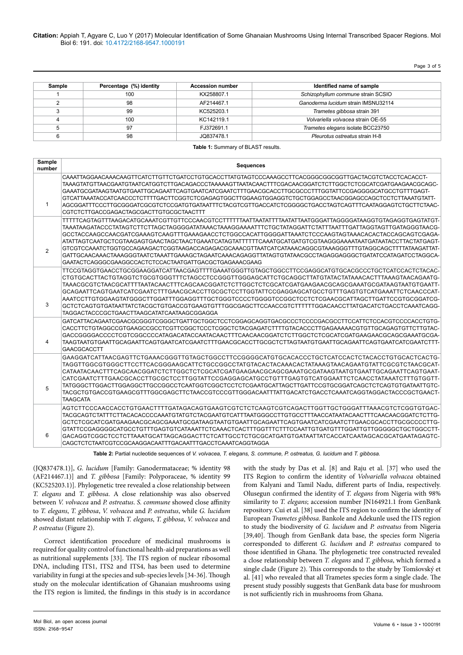**Citation:** Appiah T, Agyare C, Luo Y (2017) Molecular Identification of Some Ghanaian Mushrooms Using Internal Transcribed Spacer Regions. Mol Biol 6: 191. doi: 10.4172/2168-9547.1000191

Page 3 of 5

| Sample | Percentage (%) identity | <b>Accession number</b> | Identified name of sample           |
|--------|-------------------------|-------------------------|-------------------------------------|
|        | 100                     | KX258807.1              | Schizophyllum commune strain SCSIO  |
|        | 98                      | AF214467.1              | Ganoderma lucidum strain IMSNU32114 |
|        | 99                      | KC525203.1              | Trametes gibbosa strain 391         |
| 4      | 100                     | KC142119.1              | Volvariella volvacea strain OE-55   |
|        | 97                      | FJ372691.1              | Trametes elegans isolate BCC23750   |
|        | 98                      | JQ837478.1              | Pleurotus ostreatus strain H-8      |

**Table 1: Summary of BLAST results.** 

| Sample<br>number | <b>Sequences</b>                                                                                                                                                                                                                                                                                                                                                                                                                                                                                                                                                                                                                                                                                                                 |
|------------------|----------------------------------------------------------------------------------------------------------------------------------------------------------------------------------------------------------------------------------------------------------------------------------------------------------------------------------------------------------------------------------------------------------------------------------------------------------------------------------------------------------------------------------------------------------------------------------------------------------------------------------------------------------------------------------------------------------------------------------|
| $\mathbf{1}$     | CAAATTAGGAACAAACAAGTTCATCTTGTTCTGATCCTGTGCACCTTATGTAGTCCCAAAGCCTTCACGGGCGGCGGTTGACTACGTCTACCTCACACCT-<br>TAAAGTATGTTAACGAATGTAATCATGGTCTTGACAGACCCTAAAAAGTTAATACAACTTTCGACAACGGATCTCTTGGCTCTCGCATCGATGAAGAACGCAGC-<br>GAAATGCGATAAGTAATGTGAATTGCAGAATTCAGTGAATCATCGAATCTTTGAACGCACCTTGCGCCCTTTGGTATTCCGAGGGGCATGCCTGTTTGAGT-<br>GTCATTAAATACCATCAACCCTCTTTTGACTTCGGTCTCGAGAGTGGCTTGGAAGTGGAGGTCTGCTGGAGCCTAACGGAGCCAGCTCCTCTTAAATGTATT-<br>AGCGGATTTCCCTTGCGGGATCGCGTCTCCGATGTGATAATTTCTACGTCGTTGACCATCTCGGGGCTGACCTAGTCAGTTTCAATAGGAGTCTGCTTCTAAC-<br>CGTCTCTTGACCGAGACTAGCGACTTGTGCGCTAACTTT                                                                                                                                   |
| 2                | TTTTTCAGTAGTTTAAGACATGCAAATCGTTGTTCCCAACGTCCTTTTTTAATTATATATTTTAATATTAATGGGATTAGGGGATAAGGTGTAGAGGTGAGTATGT-<br>TAAATAAGATACCCTATAGTCTTCTTAGCTAGGGGATATAAACTAAAGGAAAATTTCTGCTATAGGATTCTATTTAATTTGATTAGGTAGTTGATAGGGTAACG-<br>GCCTACCAAGCCAACGATCGAAAGTCAAGTTTGAAAGAACCTCTGGCCACATTGGGGATTAAATCTCCCAAGTAGTAAACACACTACCAGCAGTCGAGA-<br>ATATTAGTCAATGCTCGTAAGAGTGAACTAGCTAACTGAAATCATAGTATTTTTTCAAATGCATGATGTCGTAAGGGAAAATAATGATAATACCTTACTATGAGT-<br>GTCGTCCAAATCTGGTGCCAGAAGACTCGGTAAGACCAGAGACGCAAACGTTAATCATCATAAACAGGCGTAAAGGGTTTGTAGGCAGCTTTTATAAGATTAT-<br>GATTGCAACAAACTAAAGGGTAATCTAAATTGAAAGCTAGAATCAAACAGAGGTTATAGTGTATAACGCCTAGAGGAGGGCTGATATCCATAGATCCTAGGCA-<br>GAATACTCAGGGCGAAGGCCACTCTCCACTAATGATTGACGCTGAGAAACGAAG |
| 3                | TTCCGTAGGTGAACCTGCGGAAGGATCATTAACGAGTTTTGAAATGGGTTGTAGCTGGCCTTCCGAGGCATGTGCACGCCCTGCTCATCCACTCTACAC-<br>CTGTGCACTTACTGTAGGTCTGCGTGGGTTTCTAGCCTCCGGGTTGGGAGCATTCTGCAGGCTTATGTATACTATAAACACTTTAAAGTAACAGAATG-<br>TAAACGCGTCTAACGCATTTTAATACAACTTTCAGCAACGGATCTCTTGGCTCTCGCATCGATGAAGAACGCAGCGAAATGCGATAAGTAATGTGAATT-<br>GCAGAATTCAGTGAATCATCGAATCTTTGAACGCACCTTGCGCTCCTTGGTATTCCGAGGAGCATGCCTGTTTGAGTGTCATGAAATTCTCAACCCAT-<br>AAATCCTTGTGGAAGTATGGGCTTGGATTTGGAGGTTTGCTGGGTCCCCTGGGGTCCGGCTCCTCTCGAACGCATTAGCTTGATTCCGTGCGGATCG-<br>GCTCTCAGTGTGATAATTATCTACGCTGTGACCGTGAAGTGTTTGGCGAGCTTCCAACCGTCTTTTTTGGACAACCTTATGACATCTGACCTCAAATCAGG-<br>TAGGACTACCCGCTGAACTTAAGCATATCAATAAGCGGAGGA                                         |
| 4                | GATCATTACAGAATCGAACGCGGGTCGGGCTGATTGCTGGCTCCTCGGAGCAGGTGACGCCCTCCCCGACGCCTTCCATTCTCCACGTCCCCACCTGTG-<br>CACCTTCTGTAGGCCGTGAAGCCGCCTCGTTCGGCTCCCTCGGCTCTACGAGATCTTTTGTACACCCTTGAGAAAAACGTGTTGCAGAGTGTTCTTGTAC-<br>GACCGGGGACCCCTCGTCGGCCCCATAGACATACCAATACAACTTTCAACAACGGATCTCTTGGCTCTCGCATCGATGAAGAACGCAGCGAAATGCGA-<br>TAAGTAATGTGAATTGCAGAATTCAGTGAATCATCGAATCTTTGAACGCACCTTGCGCTCTTAGTAATGTGAATTGCAGAATTCAGTGAATCATCGAATCTTT-<br>GAACGCACCTT                                                                                                                                                                                                                                                                                  |
| 5                | TAGGTTGGCGTGGGCTTCCTTCACGGGAAGCATTCTGCCGGCCTATGTACACTACAAACACTATAAAGTAACAGAATGTATTCGCGTCTAACGCAT-<br>CATAATACAACTTTCAGCAACGGATCTCTTGGCTCTCGCATCGATGAAGAACGCAGCGAAATGCGATAAGTAATGTGAATTGCAGAATTCAGTGAAT-<br>CATCGAATCTTTGAACGCACCTTGCGCTCCTTGGTATTCCGAGGAGCATGCCTGTTTGAGTGTCATGGAATTCTCAACCTATAAATCTTTGTGGTT-<br>TATGGGCTTGGACTTGGAGGCTTGCCGGCCTCAATGGTCGGCTCCTCTCGAATGCATTAGCTTGATTCCGTGCGGATCAGCTCTCAGTGTGATAATTGTC-<br>TACGCTGTGACCGTGAAGCGTTTGGCGAGCTTCTAACCGTCCCGTTGGGACAATTTATTGACATCTGACCTCAAATCAGGTAGGACTACCCGCTGAACT-<br><b>TAAGCATA</b>                                                                                                                                                                                 |
| 6                | AGTCTTCCCAACCACCTGTGAACTTTTGATAGACAGTGAAGTCGTCTCTCAAGTCGTCAGACTTGGTTGCTGGGATTTAAACGTCTCGGTGTGAC-<br>TACGCAGTCTATTTCTTACACACCCCAAATGTATGTCTACGAATGTCATTTAATGGGCCTTGTGCCTTTAACCATAATACAACTTTCAACAACGGATCTCTTG-<br>GCTCTCGCATCGATGAAGAACGCAGCGAAATGCGATAAGTAATGTGAATTGCAGAATTCAGTGAATCATCGAATCTTGAACGCACCTTGCGCCCCTTG-<br>GACAGGTCGGCTCCTCTTAAATGCATTAGCAGGACTTCTCATTGCCTCTGCGCATGATGTGATAATTATCACCATCAATAGCACGCATGAATAGAGTC-<br>CAGCTCTCTAATCGTCCGCAAGGACAATTTGACAATTTGACCTCAAATCAGGTAGGA                                                                                                                                                                                                                                          |

**Table 2:** Partial nucleotide sequences of *V. volvacea, T. elegans, S. commune, P. ostreatus, G. lucidum* and *T. gibbosa.*

(JQ837478.1)], *G. lucidum* [Family: Ganodermataceae; % identity 98 (AF214467.1)] and *T. gibbosa* [Family: Polyporaceae, % identity 99 (KC525203.1)]. Phylogenetic tree revealed a close relationship between *T. elegans* and *T. gibbosa*. A close relationship was also observed between *V. volvacea* and *P. ostreatus*. *S. commune* showed close affinity to *T. elegans*, *T. gibbosa*, *V. volvacea* and *P. ostreatus*, while *G. lucidum* showed distant relationship with *T. elegans*, *T. gibbosa*, *V. volvacea* and *P. ostreatus* (Figure 2).

Correct identification procedure of medicinal mushrooms is required for quality control of functional health-aid preparations as well as nutritional supplements [33]. The ITS region of nuclear ribosomal DNA, including ITS1, ITS2 and ITS4, has been used to determine variability in fungi at the species and sub-species levels [34-36]. Though study on the molecular identification of Ghanaian mushrooms using the ITS region is limited, the findings in this study is in accordance with the study by Das et al. [8] and Raju et al. [37] who used the ITS Region to confirm the identity of *Volvariella volvacea* obtained from Kalyani and Tamil Nadu, different parts of India, respectively. Olusegun confirmed the identity of *T. elegans* from Nigeria with 98% similarity to *T. elegans*; accession number JN164921.1 from GenBank repository. Cui et al. [38] used the ITS region to confirm the identity of European *Trametes gibbosa*. Bankole and Adekunle used the ITS region to study the biodiversity of *G. lucidum* and *P. ostreatus* from Nigeria [39,40]. Though from GenBank data base, the species form Nigeria corresponded to different *G. lucidum* and *P. ostreatus* compared to those identified in Ghana. The phylogenetic tree constructed revealed a close relationship between *T. elegans* and *T. gibbosa*, which formed a single clade (Figure 2). This corresponds to the study by Tomšovský et al. [41] who revealed that all Trametes species form a single clade. The present study possibly suggests that GenBank data base for mushroom is not sufficiently rich in mushrooms from Ghana.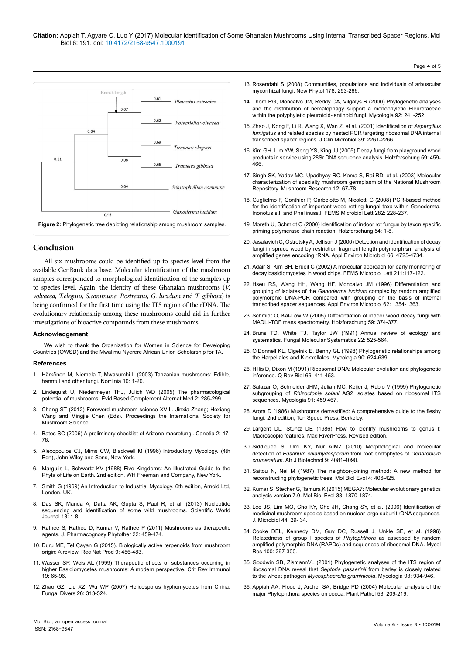

### **Conclusion**

All six mushrooms could be identified up to species level from the available GenBank data base. Molecular identification of the mushroom samples corresponded to morphological identification of the samples up to species level. Again, the identity of these Ghanaian mushrooms (*V. volvacea, T.elegans, S.commune, P.ostreatus, G. lucidum* and *T. gibbosa*) is being confirmed for the first time using the ITS region of the rDNA. The evolutionary relationship among these mushrooms could aid in further investigations of bioactive compounds from these mushrooms.

#### **Acknowledgement**

We wish to thank the Organization for Women in Science for Developing Countries (OWSD) and the Mwalimu Nyerere African Union Scholarship for TA.

#### **References**

- 1. Härkönen M, Niemela T, Mwasumbi L (2003) Tanzanian mushrooms: Edible, harmful and other fungi. Norrlinia 10: 1-20.
- 2. [Lindequist U, Niedermeyer THJ, Julich WD \(2005\) The pharmacological](http://dx.doi.org/10.1093/ecam/neh107) [potential of mushrooms. Evid Based Complement Alternat Med 2: 285-299.](http://dx.doi.org/10.1093/ecam/neh107)
- 3. Chang ST (2012) Foreword mushroom science XVIII. Jinxia Zhang; Hexiang Wang and Mingjie Chen (Eds). Proceedings the International Society for Mushroom Science.
- 4. [Bates SC \(2006\) A preliminary checklist of Arizona macrofungi. Canotia 2: 47-](http://www.canotia.org/volumes/CANOTIA_2006_Vol2_2_Bates.pdf) [78.](http://www.canotia.org/volumes/CANOTIA_2006_Vol2_2_Bates.pdf)
- 5. [Alexopoulos CJ, Mims CW, Blackwell M \(1996\) Introductory Mycology. \(4th](http://www.worldcat.org/title/introductory-mycology/oclc/647694345) [Edn\), John Wiley and Sons, New York.](http://www.worldcat.org/title/introductory-mycology/oclc/647694345)
- 6. [Margulis L, Schwartz KV \(1988\) Five Kingdoms: An Illustrated Guide to the](https://www.abebooks.com/book-search/isbn/9780716718857/) [Phyla of Life on Earth. 2nd edition, WH Freeman and Company, New York.](https://www.abebooks.com/book-search/isbn/9780716718857/)
- 7. [Smith G \(1969\) An Introduction to Industrial Mycology. 6th edition, Arnold Ltd,](https://www.abebooks.com/Smiths-Introduction-Industrial-Mycology-George-Smith/12113299600/bd) [London, UK.](https://www.abebooks.com/Smiths-Introduction-Industrial-Mycology-George-Smith/12113299600/bd)
- 8. [Das SK, Manda A, Datta AK, Gupta S, Paul R, et al. \(2013\) Nucleotide](https://www.hindawi.com/journals/tswj/2013/403191/) [sequencing and identification of some wild mushrooms. Scientific World](https://www.hindawi.com/journals/tswj/2013/403191/) [Journal 13: 1-8.](https://www.hindawi.com/journals/tswj/2013/403191/)
- 9. [Rathee S, Rathee D, Kumar V, Rathee P \(2011\) Mushrooms as therapeutic](http://dx.doi.org/10.1590/S0102-) [agents. J. Pharmacognosy Phytother 22: 459-474.](http://dx.doi.org/10.1590/S0102-)
- 10. [Duru ME, Tel Çayan G \(2015\). Biologically active terpenoids from mushroom](http://www.acgpubs.org/RNP/2015/Volume9/Issue 1/58-RNP-1412-266.pdf) [origin: A review. Rec Nat Prod 9: 456-483.](http://www.acgpubs.org/RNP/2015/Volume9/Issue 1/58-RNP-1412-266.pdf)
- 11. Wasser SP, Weis AL (1999) Therapeutic effects of substances occurring in higher Basidiomycetes mushrooms: A modern perspective. Crit Rev Immunol 19: 65-96.
- 12. [Zhao GZ, Liu XZ, Wu WP \(2007\) Helicosporus hyphomycetes from China.](http://www.fungaldiversity.org/fdp/sfdp/26-15.pdf) [Fungal Divers 26: 313-524.](http://www.fungaldiversity.org/fdp/sfdp/26-15.pdf)
- 13. [Rosendahl S \(2008\) Communities, populations and individuals of arbuscular](http://dx.doi.org/10.1111/j.1469-8137.2008.02378.x)  [mycorrhizal fungi. New Phytol 178: 253-266.](http://dx.doi.org/10.1111/j.1469-8137.2008.02378.x)
- 14. [Thorn RG, Moncalvo JM, Reddy CA, Vilgalys R \(2000\) Phylogenetic analyses](http://dx.doi.org/10.2307/3761557)  [and the distribution of nematophagy support a monophyletic Pleurotaceae](http://dx.doi.org/10.2307/3761557)  [within the polyphyletic pleurotoid-lentinoid fungi. Mycologia 92: 241-252.](http://dx.doi.org/10.2307/3761557)
- 15. [Zhao J, Kong F, Li R, Wang X, Wan Z, et al. \(2001\) Identification of](file:///F:/Journals/OMICS/JNB/Volume%206/Volume6.2/JNB6.2_AI/10.1128/JCM.39.6.2261-2266.2001) *Aspergillus fumigatus* [and related species by nested PCR targeting ribosomal DNA internal](file:///F:/Journals/OMICS/JNB/Volume%206/Volume6.2/JNB6.2_AI/10.1128/JCM.39.6.2261-2266.2001)  [transcribed spacer regions. J Clin Microbiol 39: 2261-2266.](file:///F:/Journals/OMICS/JNB/Volume%206/Volume6.2/JNB6.2_AI/10.1128/JCM.39.6.2261-2266.2001)
- 16. [Kim GH, Lim YW, Song YS, King JJ \(2005\) Decay fungi from playground wood](http://dx.doi.org/10.1515/HF.2005.076)  [products in service using 28Sr DNA sequence analysis. Holzforschung 59: 459-](http://dx.doi.org/10.1515/HF.2005.076) [466.](http://dx.doi.org/10.1515/HF.2005.076)
- 17. Singh SK, Yadav MC, Upadhyay RC, Kama S, Rai RD, et al. (2003) Molecular characterization of specialty mushroom germplasm of the National Mushroom Repository. Mushroom Research 12: 67-78.
- 18. [Guglielmo F, Gonthier P, Garbelotto M, Nicolotti G \(2008\) PCR-based method](https://doi.org/10.1111/j.1574-6968.2008.01132.x)  [for the identification of important wood rotting fungal taxa within Ganoderma,](https://doi.org/10.1111/j.1574-6968.2008.01132.x)  [Inonotus s.l. and Phellinuss.l. FEMS Microbiol Lett 282: 228-237.](https://doi.org/10.1111/j.1574-6968.2008.01132.x)
- 19. Moreth U, Schmidt O (2000) Identification of indoor rot fungus by taxon specific priming polymerase chain reaction. [Holzforschung](https://www.researchgate.net/journal/0018-3830_Holzforschung) 54: 1-8.
- 20. [Jasalavich C, Ostrotsky A, Jellison J \(2000\) Detection and identification of decay](http://dx.doi.org/10.1128/AEM.66.11.4725-4734.2000)  [fungi in spruce wood by restriction fragment length polymorphism analysis of](http://dx.doi.org/10.1128/AEM.66.11.4725-4734.2000)  [amplified genes encoding rRNA. Appl Environ Microbiol 66: 4725-4734.](http://dx.doi.org/10.1128/AEM.66.11.4725-4734.2000)
- 21. Adair S, Kim SH, Brueil C (2002) A molecular approach for early monitoring of decay basidiomycetes in wood chips. FEMS Microbiol Lett 211:117-122.
- 22. [Hseu RS, Wang HH, Wang HF, Moncalvo JM \(1996\) Differentiation and](https://www.researchgate.net/publication/14286924_Differentiation_and_grouping_of_isolates_of_the_Ganoderma_lucidum_complex_by_Random_Amplified_Polymorphic_DNA-PCR_compared_with_grouping_on_the_basis_of_Internal_Transcribed_Spacer_sequences)  grouping of isolates of the *Ganoderma lucidum* [complex by random amplified](https://www.researchgate.net/publication/14286924_Differentiation_and_grouping_of_isolates_of_the_Ganoderma_lucidum_complex_by_Random_Amplified_Polymorphic_DNA-PCR_compared_with_grouping_on_the_basis_of_Internal_Transcribed_Spacer_sequences)  [polymorphic DNA-PCR compared with grouping on the basis of internal](https://www.researchgate.net/publication/14286924_Differentiation_and_grouping_of_isolates_of_the_Ganoderma_lucidum_complex_by_Random_Amplified_Polymorphic_DNA-PCR_compared_with_grouping_on_the_basis_of_Internal_Transcribed_Spacer_sequences)  [transcribed spacer sequences. Appl Environ Microbiol 62: 1354-1363.](https://www.researchgate.net/publication/14286924_Differentiation_and_grouping_of_isolates_of_the_Ganoderma_lucidum_complex_by_Random_Amplified_Polymorphic_DNA-PCR_compared_with_grouping_on_the_basis_of_Internal_Transcribed_Spacer_sequences)
- 23. [Schmidt O, Kal-Low W \(2005\) Differentiation of indoor wood decay fungi with](http://dx.doi.org/10.1515/HF.2005.062)  [MADLI-TOF mass spectrometry. Holzforschung 59: 374-377.](http://dx.doi.org/10.1515/HF.2005.062)
- 24. [Bruns TD, White TJ, Taylor JW \(1991\) Annual review of ecology and](https://nature.berkeley.edu/brunslab/papers/bruns1991.pdf)  [systematics. Fungal Molecular Systematics 22: 525-564.](https://nature.berkeley.edu/brunslab/papers/bruns1991.pdf)
- 25. [O'Donnell KL, Cigelnik E, Benny GL \(1998\) Phylogenetic relationships among](http://dx.doi.org/10.2307/3761222)  [the Harpellales and Kickxellales. Mycologia 90: 624-639.](http://dx.doi.org/10.2307/3761222)
- 26. [Hillis D, Dixon M \(1991\) Ribosomal DNA: Molecular evolution and phylogenetic](http://dx.doi.org/10.1086/417338)  inference. Q Rev Biol [66: 411-453.](http://dx.doi.org/10.1086/417338)
- 27. Salazar O, Schneider JHM, Julian MC, Keijer J, Rubio V (1999) Phylogenetic subgrouping of *Rhizoctonia solani* AG2 isolates based on ribosomal ITS sequences. Mycologia 91: 459 467.
- 28. Arora D (1986) Mushrooms demystified: A comprehensive guide to the fleshy fungi. 2nd edition, Ten Speed Press, Berkeley.
- 29. Largent DL, Stuntz DE (1986) How to identify mushrooms to genus I: Macroscopic features, Mad RiverPress, Revised edition.
- 30. [Siddiquee S, Umi KY, Nur AIMZ \(2010\) Morphological and molecular](https://www.researchgate.net/publication/224928469_Morphological_and_molecular_detection_of_Fusarium_chlamydosporum_from_root_endophytes_of_Dendrobium_crumenatum)  detection of *[Fusarium chlamydosporum](https://www.researchgate.net/publication/224928469_Morphological_and_molecular_detection_of_Fusarium_chlamydosporum_from_root_endophytes_of_Dendrobium_crumenatum)* from root endophytes of *Dendrobium crumenatum*[. Afr J Biotechnol 9: 4081-4090.](https://www.researchgate.net/publication/224928469_Morphological_and_molecular_detection_of_Fusarium_chlamydosporum_from_root_endophytes_of_Dendrobium_crumenatum)
- 31. [Saitou N, Nei M \(1987\) The neighbor-joining method: A new method for](https://pdfs.semanticscholar.org/13e1/c3709424e70cf6e20c0ddda5854f4255ea28.pdf)  [reconstructing phylogenetic trees. Mol Biol Evol 4: 406-425.](https://pdfs.semanticscholar.org/13e1/c3709424e70cf6e20c0ddda5854f4255ea28.pdf)
- 32. [Kumar S, Stecher G, Tamura K \(2015\) MEGA7: Molecular evolutionary genetics](https://doi.org/10.1093/molbev/msw054)  [analysis version 7.0. Mol Biol Evol 33: 1870-1874.](https://doi.org/10.1093/molbev/msw054)
- 33. [Lee JS, Lim MO, Cho KY, Cho JH, Chang SY, et al. \(2006\) Identification of](http://210.101.116.28/W_files/kiss10/81600692_pv.pdf)  [medicinal mushroom species based on nuclear large subunit rDNA sequences.](http://210.101.116.28/W_files/kiss10/81600692_pv.pdf)  [J. Microbiol 44: 29- 34.](http://210.101.116.28/W_files/kiss10/81600692_pv.pdf)
- 34. Cooke DEL, Kennedy DM, Guy DC, Russell J, Unkle SE, et al. (1996) Relatedness of group I species of *Phytophthora* as assessed by random amplified polymorphic DNA (RAPDs) and sequences of ribosomal DNA. Mycol Res 100: 297-300.
- 35. [Goodwin SB, ZismannVL \(2001\) Phylogenetic analyses of the ITS region of](https://pubag.nal.usda.gov/download/59117/PDF)  ribosomal DNA reveal that *Septoria passerinii* [from barley is closely related](https://pubag.nal.usda.gov/download/59117/PDF)  to the wheat pathogen *Mycosphaerella graminicola*[. Mycologia 93: 934-946.](https://pubag.nal.usda.gov/download/59117/PDF)
- 36. [Appiah AA, Flood J, Archer SA, Bridge PD \(2004\) Molecular analysis of the](http://dx.doi.org/10.1111/j.1365-3059.2004.00980.x)  [major Phytophthora species on cocoa. Plant Pathol 53: 209-219.](http://dx.doi.org/10.1111/j.1365-3059.2004.00980.x)